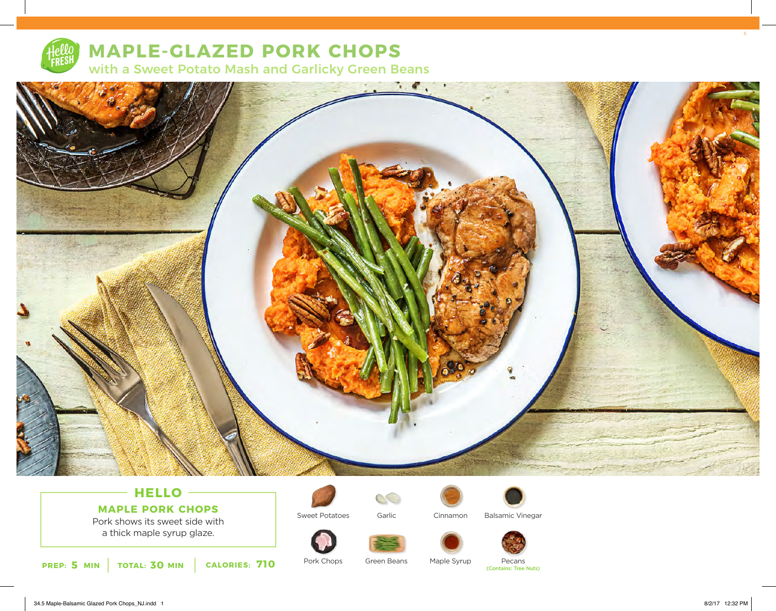

# **MAPLE-GLAZED PORK CHOPS** with a Sweet Potato Mash and Garlicky Green Beans

 $\blacksquare$  $\mathbf{R}_{\mathrm{eff}}$ 

## **HELLO MAPLE PORK CHOPS**

Pork shows its sweet side with a thick maple syrup glaze.





Sweet Potatoes Garlic Cinnamon Balsamic Vinegar







Pork Chops Green Beans Maple Syrup Pecans